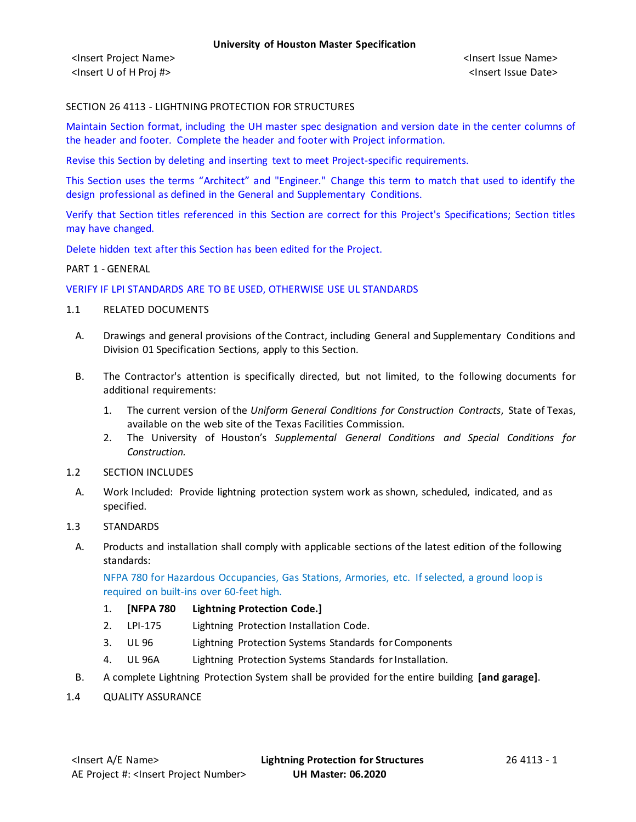<Insert Project Name> <Insert Issue Name> <Insert U of H Proj #> <Insert Issue Date>

### SECTION 26 4113 - LIGHTNING PROTECTION FOR STRUCTURES

Maintain Section format, including the UH master spec designation and version date in the center columns of the header and footer. Complete the header and footer with Project information.

Revise this Section by deleting and inserting text to meet Project-specific requirements.

This Section uses the terms "Architect" and "Engineer." Change this term to match that used to identify the design professional as defined in the General and Supplementary Conditions.

Verify that Section titles referenced in this Section are correct for this Project's Specifications; Section titles may have changed.

Delete hidden text after this Section has been edited for the Project.

#### PART 1 - GENERAL

#### VERIFY IF LPI STANDARDS ARE TO BE USED, OTHERWISE USE UL STANDARDS

- 1.1 RELATED DOCUMENTS
	- A. Drawings and general provisions of the Contract, including General and Supplementary Conditions and Division 01 Specification Sections, apply to this Section.
	- B. The Contractor's attention is specifically directed, but not limited, to the following documents for additional requirements:
		- 1. The current version of the *Uniform General Conditions for Construction Contracts*, State of Texas, available on the web site of the Texas Facilities Commission.
		- 2. The University of Houston's *Supplemental General Conditions and Special Conditions for Construction.*
- 1.2 SECTION INCLUDES
- A. Work Included: Provide lightning protection system work as shown, scheduled, indicated, and as specified.
- 1.3 STANDARDS
	- A. Products and installation shall comply with applicable sections of the latest edition of the following standards:

NFPA 780 for Hazardous Occupancies, Gas Stations, Armories, etc. If selected, a ground loop is required on built-ins over 60-feet high.

- 1. **[NFPA 780 Lightning Protection Code.]**
- 2. LPI-175 Lightning Protection Installation Code.
- 3. UL 96 Lightning Protection Systems Standards for Components
- 4. UL 96A Lightning Protection Systems Standards for Installation.
- B. A complete Lightning Protection System shall be provided for the entire building **[and garage]**.
- 1.4 QUALITY ASSURANCE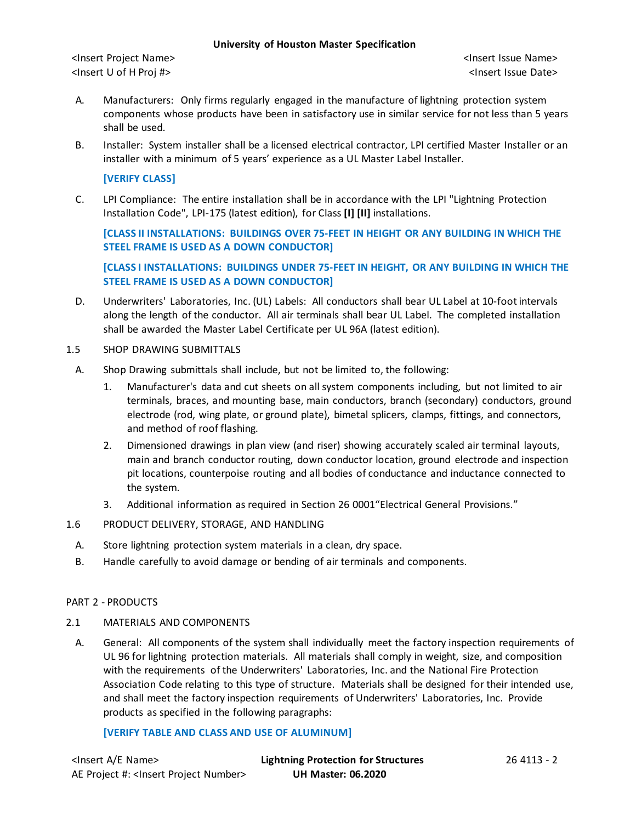<Insert Project Name> <Insert Issue Name> <Insert U of H Proj #> <Insert Issue Date>

- A. Manufacturers: Only firms regularly engaged in the manufacture of lightning protection system components whose products have been in satisfactory use in similar service for not less than 5 years shall be used.
- B. Installer: System installer shall be a licensed electrical contractor, LPI certified Master Installer or an installer with a minimum of 5 years' experience as a UL Master Label Installer.

### **[VERIFY CLASS]**

C. LPI Compliance: The entire installation shall be in accordance with the LPI "Lightning Protection Installation Code", LPI-175 (latest edition), for Class **[I] [II]** installations.

**[CLASS II INSTALLATIONS: BUILDINGS OVER 75-FEET IN HEIGHT OR ANY BUILDING IN WHICH THE STEEL FRAME IS USED AS A DOWN CONDUCTOR]**

**[CLASS I INSTALLATIONS: BUILDINGS UNDER 75-FEET IN HEIGHT, OR ANY BUILDING IN WHICH THE STEEL FRAME IS USED AS A DOWN CONDUCTOR]**

- D. Underwriters' Laboratories, Inc. (UL) Labels: All conductors shall bear UL Label at 10-footintervals along the length of the conductor. All air terminals shall bear UL Label. The completed installation shall be awarded the Master Label Certificate per UL 96A (latest edition).
- 1.5 SHOP DRAWING SUBMITTALS
- A. Shop Drawing submittals shall include, but not be limited to, the following:
	- 1. Manufacturer's data and cut sheets on all system components including, but not limited to air terminals, braces, and mounting base, main conductors, branch (secondary) conductors, ground electrode (rod, wing plate, or ground plate), bimetal splicers, clamps, fittings, and connectors, and method of roof flashing.
	- 2. Dimensioned drawings in plan view (and riser) showing accurately scaled air terminal layouts, main and branch conductor routing, down conductor location, ground electrode and inspection pit locations, counterpoise routing and all bodies of conductance and inductance connected to the system.
	- 3. Additional information as required in Section 26 0001"Electrical General Provisions."
- 1.6 PRODUCT DELIVERY, STORAGE, AND HANDLING
	- A. Store lightning protection system materials in a clean, dry space.
	- B. Handle carefully to avoid damage or bending of air terminals and components.

### PART 2 - PRODUCTS

### 2.1 MATERIALS AND COMPONENTS

A. General: All components of the system shall individually meet the factory inspection requirements of UL 96 for lightning protection materials. All materials shall comply in weight, size, and composition with the requirements of the Underwriters' Laboratories, Inc. and the National Fire Protection Association Code relating to this type of structure. Materials shall be designed for their intended use, and shall meet the factory inspection requirements of Underwriters' Laboratories, Inc. Provide products as specified in the following paragraphs:

# **[VERIFY TABLE AND CLASS AND USE OF ALUMINUM]**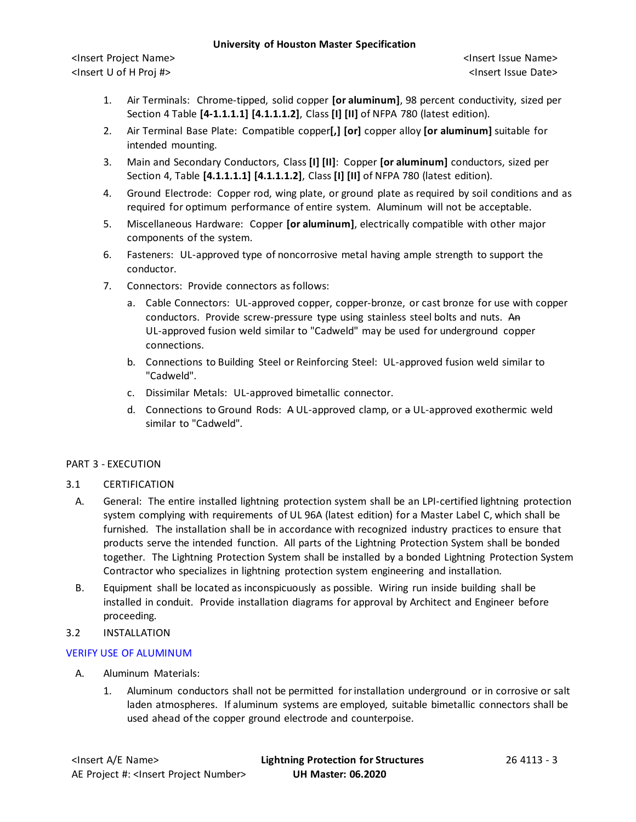<Insert Project Name> <Insert Issue Name> <Insert U of H Proj #> <Insert Issue Date>

- 1. Air Terminals: Chrome-tipped, solid copper **[or aluminum]**, 98 percent conductivity, sized per Section 4 Table **[4-1.1.1.1] [4.1.1.1.2]**, Class **[I] [II]** of NFPA 780 (latest edition).
- 2. Air Terminal Base Plate: Compatible copper**[,] [or]** copper alloy **[or aluminum]** suitable for intended mounting.
- 3. Main and Secondary Conductors, Class **[I] [II]**: Copper **[or aluminum]** conductors, sized per Section 4, Table **[4.1.1.1.1] [4.1.1.1.2]**, Class **[I] [II]** of NFPA 780 (latest edition).
- 4. Ground Electrode: Copper rod, wing plate, or ground plate as required by soil conditions and as required for optimum performance of entire system. Aluminum will not be acceptable.
- 5. Miscellaneous Hardware: Copper **[or aluminum]**, electrically compatible with other major components of the system.
- 6. Fasteners: UL-approved type of noncorrosive metal having ample strength to support the conductor.
- 7. Connectors: Provide connectors as follows:
	- a. Cable Connectors: UL-approved copper, copper-bronze, or cast bronze for use with copper conductors. Provide screw-pressure type using stainless steel bolts and nuts. An UL-approved fusion weld similar to "Cadweld" may be used for underground copper connections.
	- b. Connections to Building Steel or Reinforcing Steel: UL-approved fusion weld similar to "Cadweld".
	- c. Dissimilar Metals: UL-approved bimetallic connector.
	- d. Connections to Ground Rods: A UL-approved clamp, or a UL-approved exothermic weld similar to "Cadweld".

# PART 3 - EXECUTION

# 3.1 CERTIFICATION

- A. General: The entire installed lightning protection system shall be an LPI-certified lightning protection system complying with requirements of UL 96A (latest edition) for a Master Label C, which shall be furnished. The installation shall be in accordance with recognized industry practices to ensure that products serve the intended function. All parts of the Lightning Protection System shall be bonded together. The Lightning Protection System shall be installed by a bonded Lightning Protection System Contractor who specializes in lightning protection system engineering and installation.
- B. Equipment shall be located as inconspicuously as possible. Wiring run inside building shall be installed in conduit. Provide installation diagrams for approval by Architect and Engineer before proceeding.

# 3.2 INSTALLATION

# VERIFY USE OF ALUMINUM

- A. Aluminum Materials:
	- 1. Aluminum conductors shall not be permitted for installation underground or in corrosive or salt laden atmospheres. If aluminum systems are employed, suitable bimetallic connectors shall be used ahead of the copper ground electrode and counterpoise.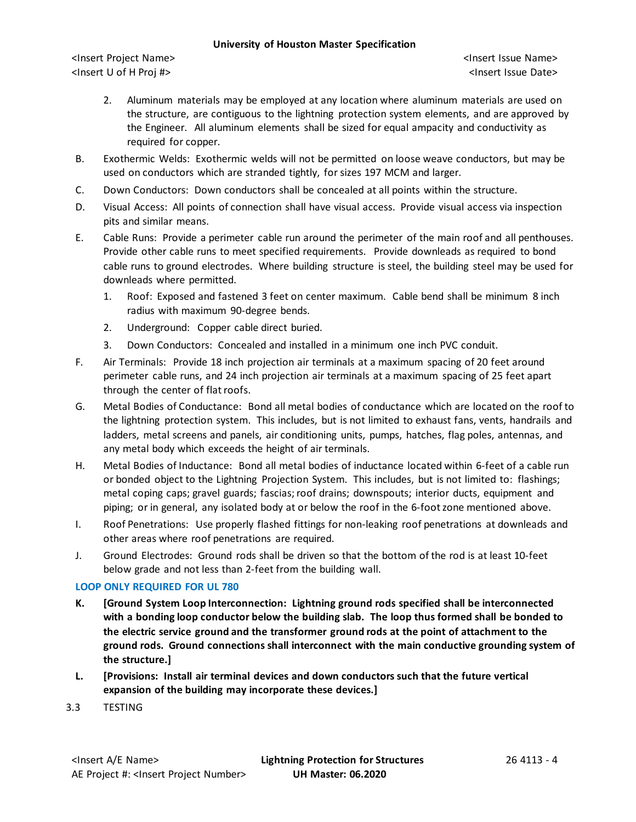<Insert Project Name> <Insert Issue Name> <Insert U of H Proj #> <Insert Issue Date>

- 2. Aluminum materials may be employed at any location where aluminum materials are used on the structure, are contiguous to the lightning protection system elements, and are approved by the Engineer. All aluminum elements shall be sized for equal ampacity and conductivity as required for copper.
- B. Exothermic Welds: Exothermic welds will not be permitted on loose weave conductors, but may be used on conductors which are stranded tightly, for sizes 197 MCM and larger.
- C. Down Conductors: Down conductors shall be concealed at all points within the structure.
- D. Visual Access: All points of connection shall have visual access. Provide visual access via inspection pits and similar means.
- E. Cable Runs: Provide a perimeter cable run around the perimeter of the main roof and all penthouses. Provide other cable runs to meet specified requirements. Provide downleads as required to bond cable runs to ground electrodes. Where building structure is steel, the building steel may be used for downleads where permitted.
	- 1. Roof: Exposed and fastened 3 feet on center maximum. Cable bend shall be minimum 8 inch radius with maximum 90-degree bends.
	- 2. Underground: Copper cable direct buried.
	- 3. Down Conductors: Concealed and installed in a minimum one inch PVC conduit.
- F. Air Terminals: Provide 18 inch projection air terminals at a maximum spacing of 20 feet around perimeter cable runs, and 24 inch projection air terminals at a maximum spacing of 25 feet apart through the center of flat roofs.
- G. Metal Bodies of Conductance: Bond all metal bodies of conductance which are located on the roof to the lightning protection system. This includes, but is not limited to exhaust fans, vents, handrails and ladders, metal screens and panels, air conditioning units, pumps, hatches, flag poles, antennas, and any metal body which exceeds the height of air terminals.
- H. Metal Bodies of Inductance: Bond all metal bodies of inductance located within 6-feet of a cable run or bonded object to the Lightning Projection System. This includes, but is not limited to: flashings; metal coping caps; gravel guards; fascias; roof drains; downspouts; interior ducts, equipment and piping; or in general, any isolated body at or below the roof in the 6-footzone mentioned above.
- I. Roof Penetrations: Use properly flashed fittings for non-leaking roof penetrations at downleads and other areas where roof penetrations are required.
- J. Ground Electrodes: Ground rods shall be driven so that the bottom of the rod is at least 10-feet below grade and not less than 2-feet from the building wall.

# **LOOP ONLY REQUIRED FOR UL 780**

- **K. [Ground System Loop Interconnection: Lightning ground rods specified shall be interconnected with a bonding loop conductor below the building slab. The loop thus formed shall be bonded to the electric service ground and the transformer ground rods at the point of attachment to the ground rods. Ground connections shall interconnect with the main conductive grounding system of the structure.]**
- **L. [Provisions: Install air terminal devices and down conductors such that the future vertical expansion of the building may incorporate these devices.]**
- 3.3 TESTING